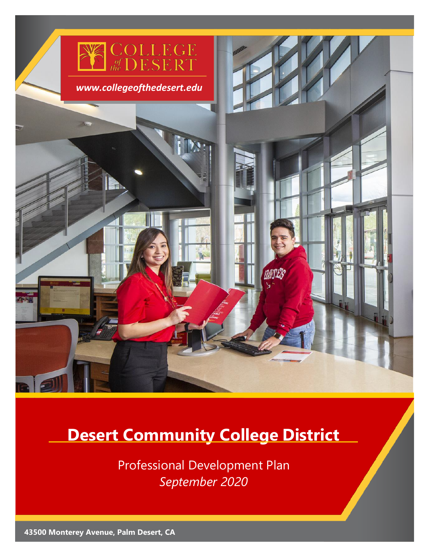

# **Desert Community College District**

Professional Development Plan *September 2020*

**43500 Monterey Avenue, Palm Desert, CA**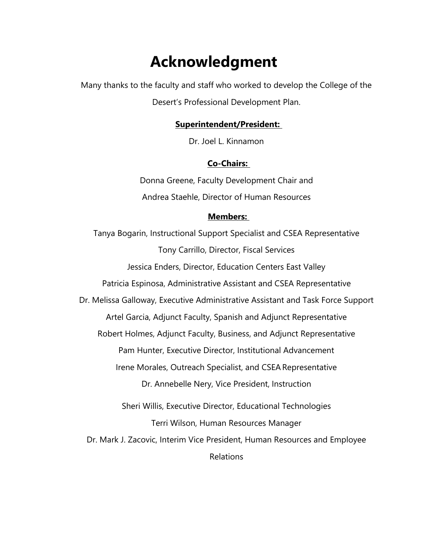# **Acknowledgment**

Many thanks to the faculty and staff who worked to develop the College of the Desert's Professional Development Plan.

#### **Superintendent/President:**

Dr. Joel L. Kinnamon

#### **Co-Chairs:**

Donna Greene, Faculty Development Chair and Andrea Staehle, Director of Human Resources

#### **Members:**

Tanya Bogarin, Instructional Support Specialist and CSEA Representative Tony Carrillo, Director, Fiscal Services Jessica Enders, Director, Education Centers East Valley Patricia Espinosa, Administrative Assistant and CSEA Representative Dr. Melissa Galloway, Executive Administrative Assistant and Task Force Support Artel Garcia, Adjunct Faculty, Spanish and Adjunct Representative Robert Holmes, Adjunct Faculty, Business, and Adjunct Representative Pam Hunter, Executive Director, Institutional Advancement Irene Morales, Outreach Specialist, and CSEARepresentative Dr. Annebelle Nery, Vice President, Instruction Sheri Willis, Executive Director, Educational Technologies Terri Wilson, Human Resources Manager Dr. Mark J. Zacovic, Interim Vice President, Human Resources and Employee Relations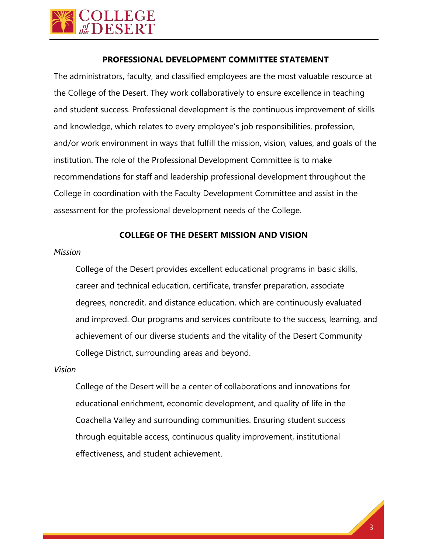

#### **PROFESSIONAL DEVELOPMENT COMMITTEE STATEMENT**

The administrators, faculty, and classified employees are the most valuable resource at the College of the Desert. They work collaboratively to ensure excellence in teaching and student success. Professional development is the continuous improvement of skills and knowledge, which relates to every employee's job responsibilities, profession, and/or work environment in ways that fulfill the mission, vision, values, and goals of the institution. The role of the Professional Development Committee is to make recommendations for staff and leadership professional development throughout the College in coordination with the Faculty Development Committee and assist in the assessment for the professional development needs of the College.

#### **COLLEGE OF THE DESERT MISSION AND VISION**

#### *Mission*

College of the Desert provides excellent educational programs in basic skills, career and technical education, certificate, transfer preparation, associate degrees, noncredit, and distance education, which are continuously evaluated and improved. Our programs and services contribute to the success, learning, and achievement of our diverse students and the vitality of the Desert Community College District, surrounding areas and beyond.

#### *Vision*

College of the Desert will be a center of collaborations and innovations for educational enrichment, economic development, and quality of life in the Coachella Valley and surrounding communities. Ensuring student success through equitable access, continuous quality improvement, institutional effectiveness, and student achievement.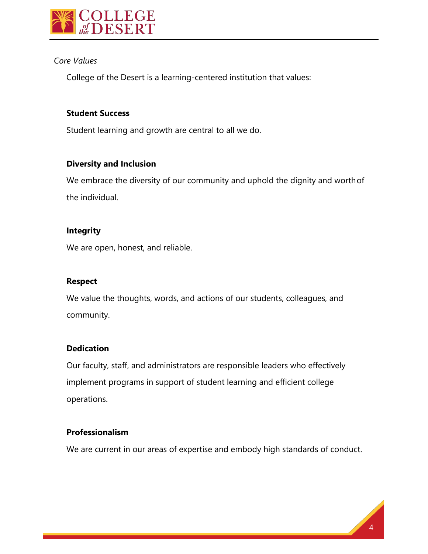

#### *Core Values*

College of the Desert is a learning-centered institution that values:

# **Student Success**

Student learning and growth are central to all we do.

#### **Diversity and Inclusion**

We embrace the diversity of our community and uphold the dignity and worthof the individual.

#### **Integrity**

We are open, honest, and reliable.

#### **Respect**

We value the thoughts, words, and actions of our students, colleagues, and community.

#### **Dedication**

Our faculty, staff, and administrators are responsible leaders who effectively implement programs in support of student learning and efficient college operations.

#### **Professionalism**

We are current in our areas of expertise and embody high standards of conduct.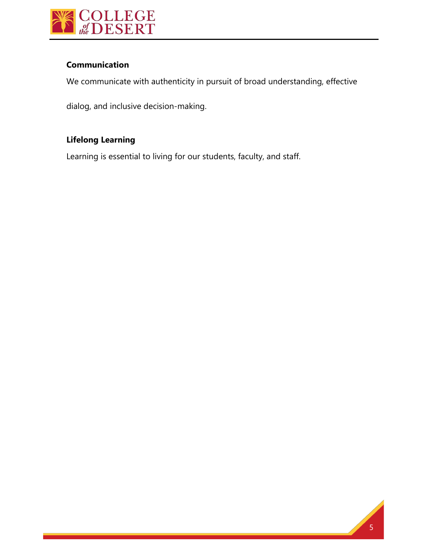

# **Communication**

We communicate with authenticity in pursuit of broad understanding, effective

dialog, and inclusive decision-making.

# **Lifelong Learning**

Learning is essential to living for our students, faculty, and staff.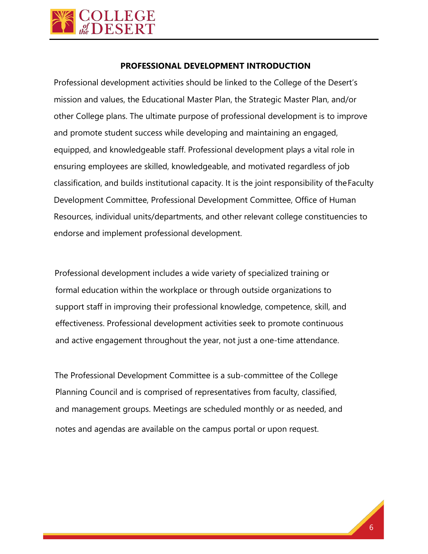

#### **PROFESSIONAL DEVELOPMENT INTRODUCTION**

Professional development activities should be linked to the College of the Desert's mission and values, the Educational Master Plan, the Strategic Master Plan, and/or other College plans. The ultimate purpose of professional development is to improve and promote student success while developing and maintaining an engaged, equipped, and knowledgeable staff. Professional development plays a vital role in ensuring employees are skilled, knowledgeable, and motivated regardless of job classification, and builds institutional capacity. It is the joint responsibility of theFaculty Development Committee, Professional Development Committee, Office of Human Resources, individual units/departments, and other relevant college constituencies to endorse and implement professional development.

Professional development includes a wide variety of specialized training or formal education within the workplace or through outside organizations to support staff in improving their professional knowledge, competence, skill, and effectiveness. Professional development activities seek to promote continuous and active engagement throughout the year, not just a one-time attendance.

The Professional Development Committee is a sub-committee of the College Planning Council and is comprised of representatives from faculty, classified, and management groups. Meetings are scheduled monthly or as needed, and notes and agendas are available on the campus portal or upon request.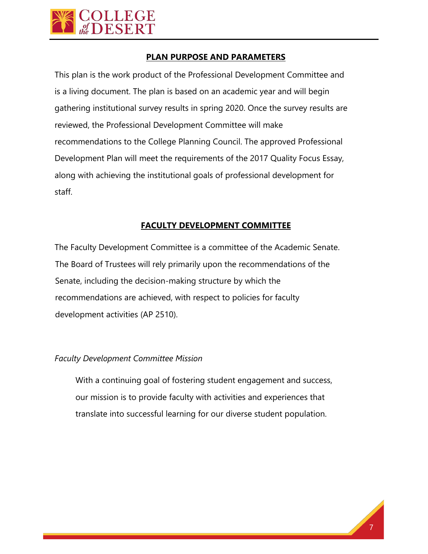

#### **PLAN PURPOSE AND PARAMETERS**

This plan is the work product of the Professional Development Committee and is a living document. The plan is based on an academic year and will begin gathering institutional survey results in spring 2020. Once the survey results are reviewed, the Professional Development Committee will make recommendations to the College Planning Council. The approved Professional Development Plan will meet the requirements of the 2017 Quality Focus Essay, along with achieving the institutional goals of professional development for staff.

#### **FACULTY DEVELOPMENT COMMITTEE**

The Faculty Development Committee is a committee of the Academic Senate. The Board of Trustees will rely primarily upon the recommendations of the Senate, including the decision-making structure by which the recommendations are achieved, with respect to policies for faculty development activities (AP 2510).

#### *Faculty Development Committee Mission*

With a continuing goal of fostering student engagement and success, our mission is to provide faculty with activities and experiences that translate into successful learning for our diverse student population.

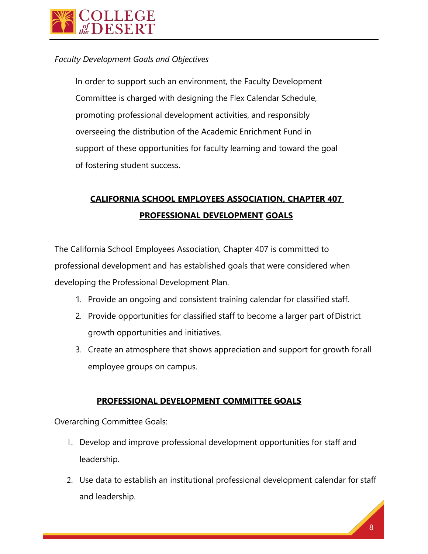

#### *Faculty Development Goals and Objectives*

In order to support such an environment, the Faculty Development Committee is charged with designing the Flex Calendar Schedule, promoting professional development activities, and responsibly overseeing the distribution of the Academic Enrichment Fund in support of these opportunities for faculty learning and toward the goal of fostering student success.

# **CALIFORNIA SCHOOL EMPLOYEES ASSOCIATION, CHAPTER 407 PROFESSIONAL DEVELOPMENT GOALS**

The California School Employees Association, Chapter 407 is committed to professional development and has established goals that were considered when developing the Professional Development Plan.

- 1. Provide an ongoing and consistent training calendar for classified staff.
- 2. Provide opportunities for classified staff to become a larger part ofDistrict growth opportunities and initiatives.
- 3. Create an atmosphere that shows appreciation and support for growth for all employee groups on campus.

#### **PROFESSIONAL DEVELOPMENT COMMITTEE GOALS**

Overarching Committee Goals:

- 1. Develop and improve professional development opportunities for staff and leadership.
- 2. Use data to establish an institutional professional development calendar for staff and leadership.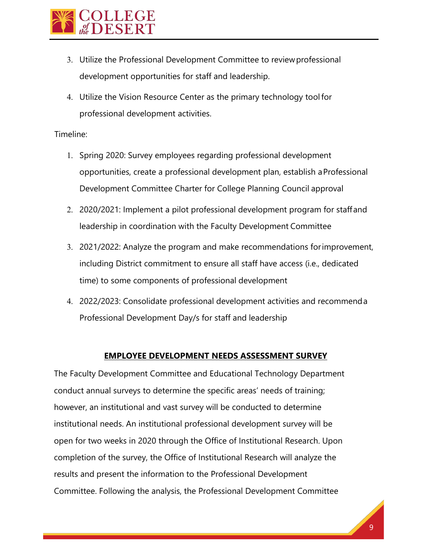

- 3. Utilize the Professional Development Committee to reviewprofessional development opportunities for staff and leadership.
- 4. Utilize the Vision Resource Center as the primary technology tool for professional development activities.

#### Timeline:

- 1. Spring 2020: Survey employees regarding professional development opportunities, create a professional development plan, establish aProfessional Development Committee Charter for College Planning Council approval
- 2. 2020/2021: Implement a pilot professional development program for staffand leadership in coordination with the Faculty Development Committee
- 3. 2021/2022: Analyze the program and make recommendations forimprovement, including District commitment to ensure all staff have access (i.e., dedicated time) to some components of professional development
- 4. 2022/2023: Consolidate professional development activities and recommenda Professional Development Day/s for staff and leadership

#### **EMPLOYEE DEVELOPMENT NEEDS ASSESSMENT SURVEY**

The Faculty Development Committee and Educational Technology Department conduct annual surveys to determine the specific areas' needs of training; however, an institutional and vast survey will be conducted to determine institutional needs. An institutional professional development survey will be open for two weeks in 2020 through the Office of Institutional Research. Upon completion of the survey, the Office of Institutional Research will analyze the results and present the information to the Professional Development Committee. Following the analysis, the Professional Development Committee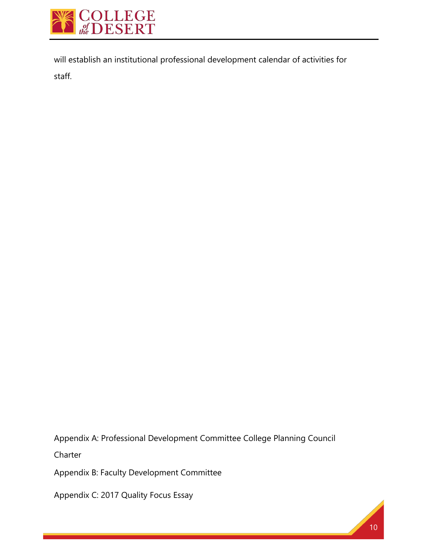

will establish an institutional professional development calendar of activities for staff.

Appendix A: Professional Development Committee College Planning Council

Charter

Appendix B: Faculty Development Committee

Appendix C: 2017 Quality Focus Essay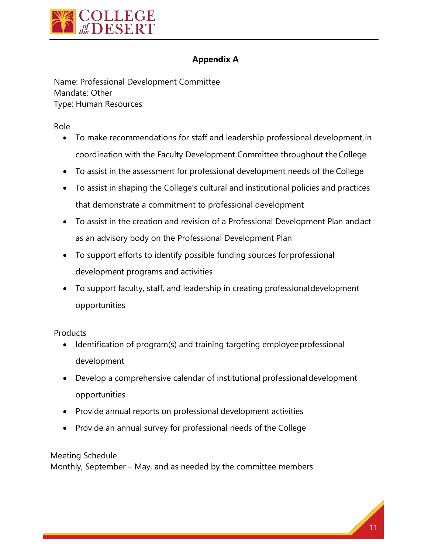

# **Appendix A**

Name: Professional Development Committee Mandate: Other Type: Human Resources

Role

- To make recommendations for staff and leadership professional development, in coordination with the Faculty Development Committee throughout theCollege
- To assist in the assessment for professional development needs of the College
- To assist in shaping the College's cultural and institutional policies and practices that demonstrate a commitment to professional development
- To assist in the creation and revision of a Professional Development Plan andact as an advisory body on the Professional Development Plan
- To support efforts to identify possible funding sources forprofessional development programs and activities
- To support faculty, staff, and leadership in creating professionaldevelopment opportunities

**Products** 

- Identification of program(s) and training targeting employeeprofessional development
- Develop a comprehensive calendar of institutional professionaldevelopment opportunities
- Provide annual reports on professional development activities
- Provide an annual survey for professional needs of the College

# Meeting Schedule

Monthly, September – May, and as needed by the committee members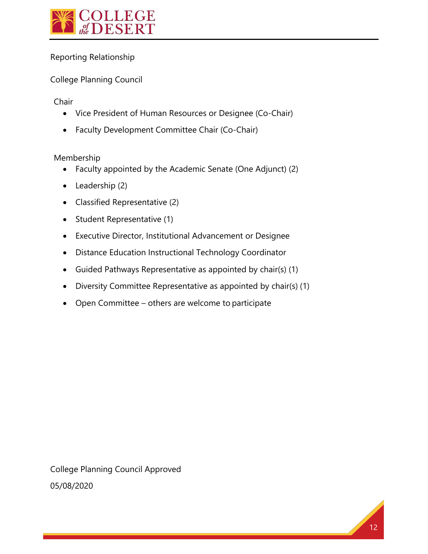

# Reporting Relationship

# College Planning Council

Chair

- Vice President of Human Resources or Designee (Co-Chair)
- Faculty Development Committee Chair (Co-Chair)

Membership

- Faculty appointed by the Academic Senate (One Adjunct) (2)
- Leadership (2)
- Classified Representative (2)
- Student Representative (1)
- Executive Director, Institutional Advancement or Designee
- Distance Education Instructional Technology Coordinator
- Guided Pathways Representative as appointed by chair(s) (1)
- Diversity Committee Representative as appointed by chair(s) (1)
- Open Committee others are welcome to participate

College Planning Council Approved 05/08/2020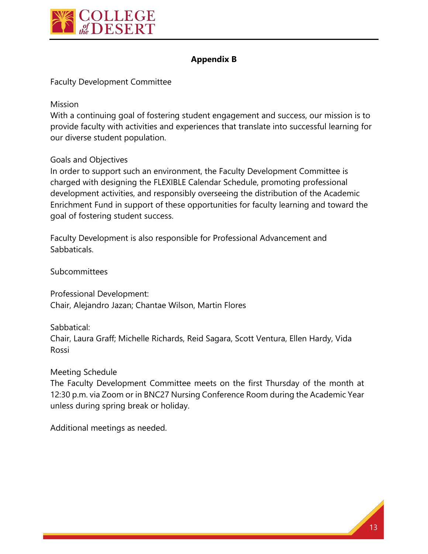

# **Appendix B**

Faculty Development Committee

Mission

With a continuing goal of fostering student engagement and success, our mission is to provide faculty with activities and experiences that translate into successful learning for our diverse student population.

Goals and Objectives

In order to support such an environment, the Faculty Development Committee is charged with designing the FLEXIBLE Calendar Schedule, promoting professional development activities, and responsibly overseeing the distribution of the Academic Enrichment Fund in support of these opportunities for faculty learning and toward the goal of fostering student success.

Faculty Development is also responsible for Professional Advancement and Sabbaticals.

**Subcommittees** 

Professional Development: Chair, Alejandro Jazan; Chantae Wilson, Martin Flores

Sabbatical:

Chair, Laura Graff; Michelle Richards, Reid Sagara, Scott Ventura, Ellen Hardy, Vida Rossi

Meeting Schedule

The Faculty Development Committee meets on the first Thursday of the month at 12:30 p.m. via Zoom or in BNC27 Nursing Conference Room during the Academic Year unless during spring break or holiday.

Additional meetings as needed.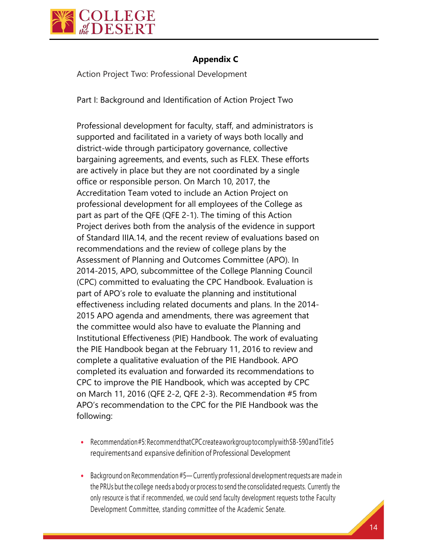

# **Appendix C**

Action Project Two: Professional Development

Part I: Background and Identification of Action Project Two

Professional development for faculty, staff, and administrators is supported and facilitated in a variety of ways both locally and district-wide through participatory governance, collective bargaining agreements, and events, such as FLEX. These efforts are actively in place but they are not coordinated by a single office or responsible person. On March 10, 2017, the Accreditation Team voted to include an Action Project on professional development for all employees of the College as part as part of the QFE (QFE 2-1). The timing of this Action Project derives both from the analysis of the evidence in support of Standard IIIA.14, and the recent review of evaluations based on recommendations and the review of college plans by the Assessment of Planning and Outcomes Committee (APO). In 2014-2015, APO, subcommittee of the College Planning Council (CPC) committed to evaluating the CPC Handbook. Evaluation is part of APO's role to evaluate the planning and institutional effectiveness including related documents and plans. In the 2014- 2015 APO agenda and amendments, there was agreement that the committee would also have to evaluate the Planning and Institutional Effectiveness (PIE) Handbook. The work of evaluating the PIE Handbook began at the February 11, 2016 to review and complete a qualitative evaluation of the PIE Handbook. APO completed its evaluation and forwarded its recommendations to CPC to improve the PIE Handbook, which was accepted by CPC on March 11, 2016 (QFE 2-2, QFE 2-3). Recommendation #5 from APO's recommendation to the CPC for the PIE Handbook was the following:

- Recommendation#5: Recommend that CPC createawork group to comply with SB-590 and Title 5 requirementsand expansive definition of Professional Development
- Background on Recommendation #5— Currently professional development requests are made in the PRUs but the college needs abody or process to send the consolidated requests. Currently the only resource is that if recommended, we could send faculty development requests tothe Faculty Development Committee, standing committee of the Academic Senate.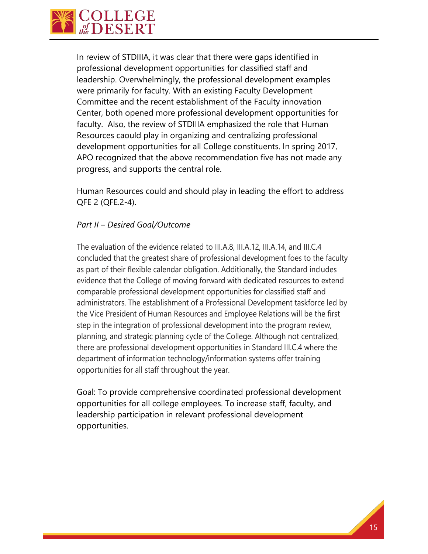

In review of STDIIIA, it was clear that there were gaps identified in professional development opportunities for classified staff and leadership. Overwhelmingly, the professional development examples were primarily for faculty. With an existing Faculty Development Committee and the recent establishment of the Faculty innovation Center, both opened more professional development opportunities for faculty. Also, the review of STDIIIA emphasized the role that Human Resources caould play in organizing and centralizing professional development opportunities for all College constituents. In spring 2017, APO recognized that the above recommendation five has not made any progress, and supports the central role.

Human Resources could and should play in leading the effort to address QFE 2 (QFE.2-4).

#### *Part II – Desired Goal/Outcome*

The evaluation of the evidence related to III.A.8, III.A.12, III.A.14, and III.C.4 concluded that the greatest share of professional development foes to the faculty as part of their flexible calendar obligation. Additionally, the Standard includes evidence that the College of moving forward with dedicated resources to extend comparable professional development opportunities for classified staff and administrators. The establishment of a Professional Development taskforce led by the Vice President of Human Resources and Employee Relations will be the first step in the integration of professional development into the program review, planning, and strategic planning cycle of the College. Although not centralized, there are professional development opportunities in Standard III.C.4 where the department of information technology/information systems offer training opportunities for all staff throughout the year.

Goal: To provide comprehensive coordinated professional development opportunities for all college employees. To increase staff, faculty, and leadership participation in relevant professional development opportunities.